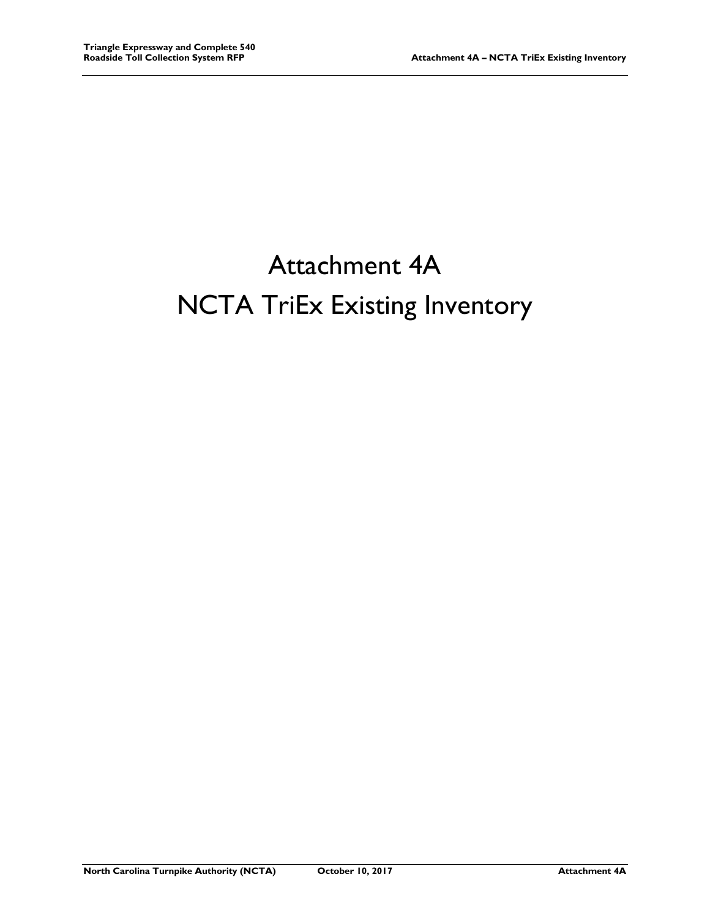## Attachment 4A NCTA TriEx Existing Inventory